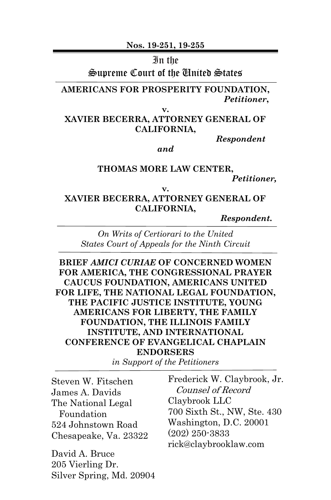**Nos. 19-251, 19-255**

#### In the

Supreme Court of the United States

**AMERICANS FOR PROSPERITY FOUNDATION,** *Petitioner***,**

**v.**

**XAVIER BECERRA, ATTORNEY GENERAL OF CALIFORNIA,**

*Respondent*

*and*

**THOMAS MORE LAW CENTER,** *Petitioner,*

**v.**

**XAVIER BECERRA, ATTORNEY GENERAL OF CALIFORNIA,**

*Respondent.*

*On Writs of Certiorari to the United States Court of Appeals for the Ninth Circuit*

**BRIEF** *AMICI CURIAE* **OF CONCERNED WOMEN FOR AMERICA, THE CONGRESSIONAL PRAYER CAUCUS FOUNDATION, AMERICANS UNITED FOR LIFE, THE NATIONAL LEGAL FOUNDATION, THE PACIFIC JUSTICE INSTITUTE, YOUNG AMERICANS FOR LIBERTY, THE FAMILY FOUNDATION, THE ILLINOIS FAMILY INSTITUTE, AND INTERNATIONAL CONFERENCE OF EVANGELICAL CHAPLAIN ENDORSERS**

*in Support of the Petitioners*

| Frederick W. Claybrook, Jr. |
|-----------------------------|
| Counsel of Record           |
| Claybrook LLC               |
| 700 Sixth St., NW, Ste. 430 |
| Washington, D.C. 20001      |
| $(202)$ 250-3833            |
| rick@claybrooklaw.com       |
|                             |
|                             |
|                             |

Silver Spring, Md. 20904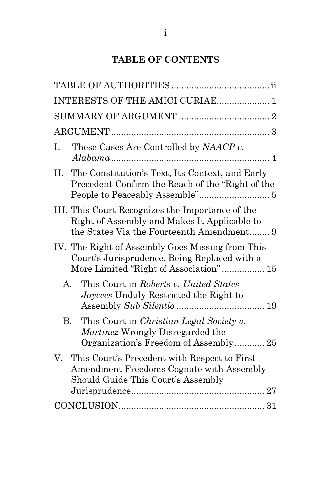## **TABLE OF CONTENTS**

|           | INTERESTS OF THE AMICI CURIAE 1                                                                                                               |  |
|-----------|-----------------------------------------------------------------------------------------------------------------------------------------------|--|
|           |                                                                                                                                               |  |
|           |                                                                                                                                               |  |
| Ι.        | These Cases Are Controlled by NAACP v.                                                                                                        |  |
| П.        | The Constitution's Text, Its Context, and Early<br>Precedent Confirm the Reach of the "Right of the                                           |  |
|           | III. This Court Recognizes the Importance of the<br>Right of Assembly and Makes It Applicable to<br>the States Via the Fourteenth Amendment 9 |  |
|           | IV. The Right of Assembly Goes Missing from This<br>Court's Jurisprudence, Being Replaced with a<br>More Limited "Right of Association" 15    |  |
| A.        | This Court in Roberts v. United States<br><i>Jaycees</i> Unduly Restricted the Right to                                                       |  |
| <b>B.</b> | This Court in Christian Legal Society v.<br>Martinez Wrongly Disregarded the<br>Organization's Freedom of Assembly 25                         |  |
| V.        | This Court's Precedent with Respect to First<br>Amendment Freedoms Cognate with Assembly<br>Should Guide This Court's Assembly                |  |
|           |                                                                                                                                               |  |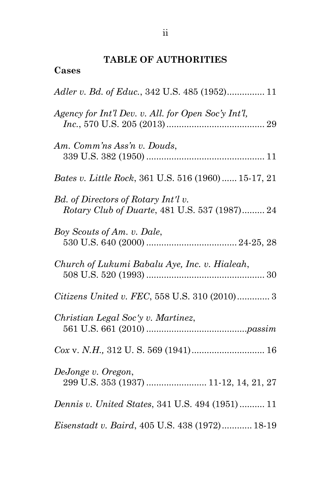# **TABLE OF AUTHORITIES**

## **Cases**

| Adler v. Bd. of Educ., 342 U.S. 485 (1952) 11                                        |
|--------------------------------------------------------------------------------------|
| Agency for Int'l Dev. v. All. for Open Soc'y Int'l,                                  |
| Am. Comm'ns Ass'n v. Douds,                                                          |
| Bates v. Little Rock, 361 U.S. 516 (1960) 15-17, 21                                  |
| Bd. of Directors of Rotary Int'l v.<br>Rotary Club of Duarte, 481 U.S. 537 (1987) 24 |
| Boy Scouts of Am. v. Dale,                                                           |
| Church of Lukumi Babalu Aye, Inc. v. Hialeah,                                        |
| Citizens United v. FEC, 558 U.S. 310 (2010) 3                                        |
| Christian Legal Soc'y v. Martinez,                                                   |
|                                                                                      |
| DeJonge v. Oregon,<br>299 U.S. 353 (1937)  11-12, 14, 21, 27                         |
| <i>Dennis v. United States, 341 U.S. 494 (1951) </i> 11                              |
| Eisenstadt v. Baird, 405 U.S. 438 (1972) 18-19                                       |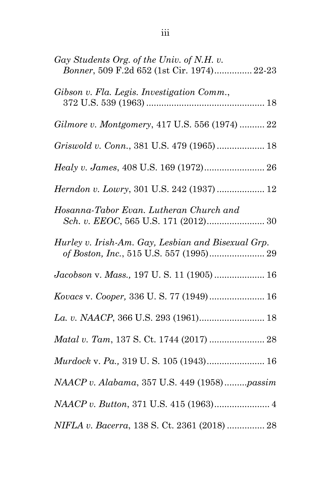| Gay Students Org. of the Univ. of N.H. v.<br>Bonner, 509 F.2d 652 (1st Cir. 1974) 22-23       |
|-----------------------------------------------------------------------------------------------|
| Gibson v. Fla. Legis. Investigation Comm.,                                                    |
| Gilmore v. Montgomery, 417 U.S. 556 (1974)  22                                                |
| Griswold v. Conn., 381 U.S. 479 (1965)  18                                                    |
| Healy v. James, 408 U.S. 169 (1972) 26                                                        |
| Herndon v. Lowry, 301 U.S. 242 (1937)  12                                                     |
| Hosanna-Tabor Evan. Lutheran Church and<br>Sch. v. EEOC, 565 U.S. 171 (2012) 30               |
| Hurley v. Irish-Am. Gay, Lesbian and Bisexual Grp.<br>of Boston, Inc., 515 U.S. 557 (1995) 29 |
| Jacobson v. Mass., 197 U.S. 11 (1905)  16                                                     |
| Kovacs v. Cooper, 336 U.S. 77 (1949) 16                                                       |
|                                                                                               |
|                                                                                               |
| Murdock v. Pa., 319 U.S. 105 (1943) 16                                                        |
| NAACP v. Alabama, 357 U.S. 449 (1958)passim                                                   |
|                                                                                               |
| NIFLA v. Bacerra, 138 S. Ct. 2361 (2018)  28                                                  |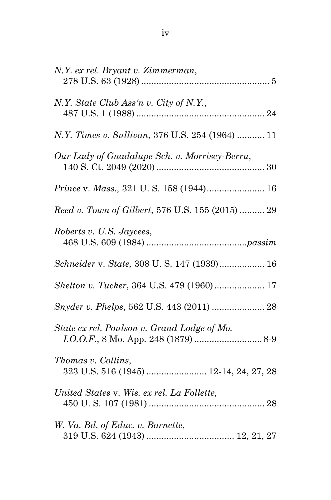| N.Y. ex rel. Bryant v. Zimmerman,                            |
|--------------------------------------------------------------|
| N.Y. State Club Ass'n v. City of N.Y.,                       |
| N.Y. Times v. Sullivan, 376 U.S. 254 (1964)  11              |
| Our Lady of Guadalupe Sch. v. Morrisey-Berru,                |
| Prince v. Mass., 321 U.S. 158 (1944) 16                      |
| Reed v. Town of Gilbert, 576 U.S. 155 (2015)  29             |
| Roberts v. U.S. Jaycees,                                     |
| Schneider v. State, 308 U.S. 147 (1939) 16                   |
| Shelton v. Tucker, 364 U.S. 479 (1960) 17                    |
| Snyder v. Phelps, 562 U.S. 443 (2011)  28                    |
| State ex rel. Poulson v. Grand Lodge of Mo.                  |
| Thomas v. Collins,<br>323 U.S. 516 (1945)  12-14, 24, 27, 28 |
| United States v. Wis. ex rel. La Follette,                   |
| W. Va. Bd. of Educ. v. Barnette,                             |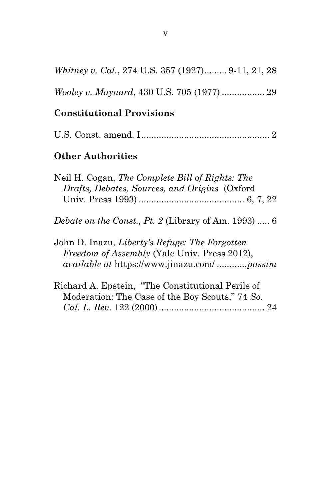|  |  | Whitney v. Cal., 274 U.S. 357 (1927) 9-11, 21, 28 |  |
|--|--|---------------------------------------------------|--|
|  |  |                                                   |  |

## **Constitutional Provisions**

|--|--|--|

## **Other Authorities**

| Neil H. Cogan, The Complete Bill of Rights: The                                                         |
|---------------------------------------------------------------------------------------------------------|
| Drafts, Debates, Sources, and Origins (Oxford                                                           |
|                                                                                                         |
| Debate on the Const., Pt. 2 (Library of Am. 1993)  6                                                    |
| $L_{\text{max}}$ D $L_{\text{max}}$ $L_{\text{max}}$ $L_{\text{max}}$ $L_{\text{max}}$ $L_{\text{max}}$ |

John D. Inazu, *Liberty's Refuge: The Forgotten Freedom of Assembly* (Yale Univ. Press 2012), *available at* https://www.jinazu.com/ ............*passim*

| Richard A. Epstein, "The Constitutional Perils of |  |
|---------------------------------------------------|--|
| Moderation: The Case of the Boy Scouts," 74 So.   |  |
|                                                   |  |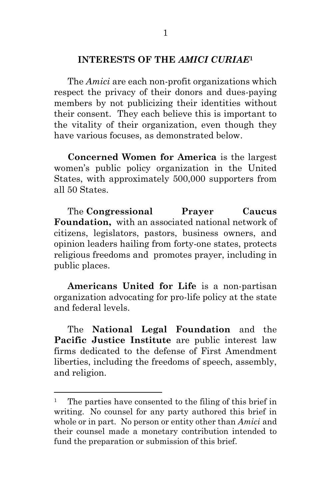#### **INTERESTS OF THE** *AMICI CURIAE***<sup>1</sup>**

The *Amici* are each non-profit organizations which respect the privacy of their donors and dues-paying members by not publicizing their identities without their consent. They each believe this is important to the vitality of their organization, even though they have various focuses, as demonstrated below.

**Concerned Women for America** is the largest women's public policy organization in the United States, with approximately 500,000 supporters from all 50 States.

The **Congressional Prayer Caucus Foundation,** with an associated national network of citizens, legislators, pastors, business owners, and opinion leaders hailing from forty-one states, protects religious freedoms and promotes prayer, including in public places.

**Americans United for Life** is a non-partisan organization advocating for pro-life policy at the state and federal levels.

The **National Legal Foundation** and the **Pacific Justice Institute** are public interest law firms dedicated to the defense of First Amendment liberties, including the freedoms of speech, assembly, and religion.

<sup>&</sup>lt;sup>1</sup> The parties have consented to the filing of this brief in writing. No counsel for any party authored this brief in whole or in part. No person or entity other than *Amici* and their counsel made a monetary contribution intended to fund the preparation or submission of this brief.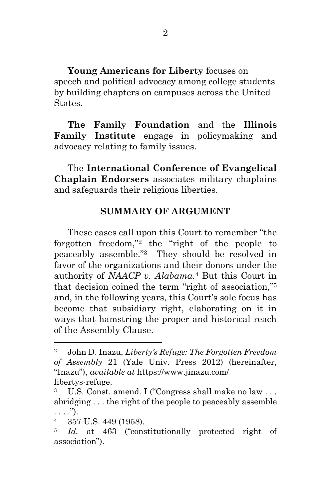**Young Americans for Liberty** focuses on speech and political advocacy among college students by building chapters on campuses across the United States.

**The Family Foundation** and the **Illinois Family Institute** engage in policymaking and advocacy relating to family issues.

The **International Conference of Evangelical Chaplain Endorsers** associates military chaplains and safeguards their religious liberties.

#### **SUMMARY OF ARGUMENT**

These cases call upon this Court to remember "the forgotten freedom," <sup>2</sup> the "right of the people to peaceably assemble." <sup>3</sup> They should be resolved in favor of the organizations and their donors under the authority of *NAACP v. Alabama.* <sup>4</sup> But this Court in that decision coined the term "right of association," 5 and, in the following years, this Court's sole focus has become that subsidiary right, elaborating on it in ways that hamstring the proper and historical reach of the Assembly Clause.

<sup>2</sup> John D. Inazu, *Liberty's Refuge: The Forgotten Freedom of Assembly* 21 (Yale Univ. Press 2012) (hereinafter, "Inazu"), *available at* https://www.jinazu.com/ libertys-refuge.

<sup>3</sup> U.S. Const. amend. I ("Congress shall make no law . . . abridging . . . the right of the people to peaceably assemble  $\ldots$ .").

<sup>4</sup> 357 U.S. 449 (1958).

<sup>5</sup> *Id.* at 463 ("constitutionally protected right of association").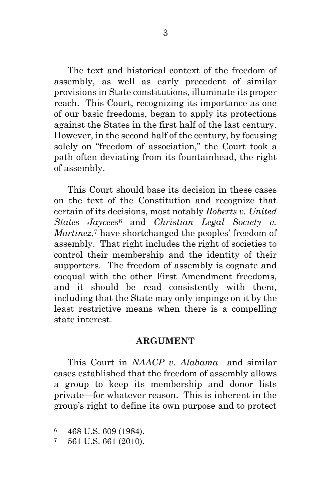The text and historical context of the freedom of assembly, as well as early precedent of similar provisions in State constitutions, illuminate its proper reach. This Court, recognizing its importance as one of our basic freedoms, began to apply its protections against the States in the first half of the last century. However, in the second half of the century, by focusing solely on "freedom of association," the Court took a path often deviating from its fountainhead, the right of assembly.

This Court should base its decision in these cases on the text of the Constitution and recognize that certain of its decisions, most notably *Roberts v. United States Jaycees*<sup>6</sup> and *Christian Legal Society v.*  Martinez,<sup>7</sup> have shortchanged the peoples' freedom of assembly. That right includes the right of societies to control their membership and the identity of their supporters. The freedom of assembly is cognate and coequal with the other First Amendment freedoms, and it should be read consistently with them, including that the State may only impinge on it by the least restrictive means when there is a compelling state interest.

#### **ARGUMENT**

This Court in *NAACP v. Alabama* and similar cases established that the freedom of assembly allows a group to keep its membership and donor lists private—for whatever reason. This is inherent in the group's right to define its own purpose and to protect

<sup>6</sup> 468 U.S. 609 (1984).

 $7\quad 561$  U.S. 661 (2010).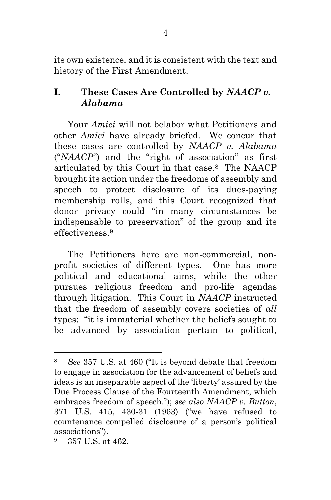its own existence, and it is consistent with the text and history of the First Amendment.

## **I. These Cases Are Controlled by** *NAACP v. Alabama*

Your *Amici* will not belabor what Petitioners and other *Amici* have already briefed. We concur that these cases are controlled by *NAACP v. Alabama* ("*NAACP"*) and the "right of association" as first articulated by this Court in that case.8 The NAACP brought its action under the freedoms of assembly and speech to protect disclosure of its dues-paying membership rolls, and this Court recognized that donor privacy could "in many circumstances be indispensable to preservation" of the group and its effectiveness. 9

The Petitioners here are non-commercial, nonprofit societies of different types. One has more political and educational aims, while the other pursues religious freedom and pro-life agendas through litigation. This Court in *NAACP* instructed that the freedom of assembly covers societies of *all* types: "it is immaterial whether the beliefs sought to be advanced by association pertain to political,

<sup>8</sup> *See* 357 U.S. at 460 ("It is beyond debate that freedom to engage in association for the advancement of beliefs and ideas is an inseparable aspect of the 'liberty' assured by the Due Process Clause of the Fourteenth Amendment, which embraces freedom of speech."); *see also NAACP v. Button*, 371 U.S. 415, 430-31 (1963) ("we have refused to countenance compelled disclosure of a person's political associations").

<sup>9</sup> 357 U.S. at 462.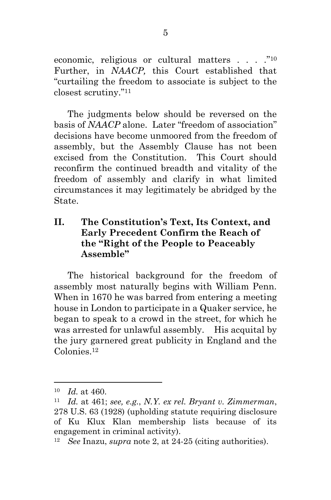economic, religious or cultural matters . . . . . "10 Further, in *NAACP,* this Court established that "curtailing the freedom to associate is subject to the closest scrutiny." <sup>11</sup>

The judgments below should be reversed on the basis of *NAACP* alone. Later "freedom of association" decisions have become unmoored from the freedom of assembly, but the Assembly Clause has not been excised from the Constitution. This Court should reconfirm the continued breadth and vitality of the freedom of assembly and clarify in what limited circumstances it may legitimately be abridged by the State.

#### **II. The Constitution's Text, Its Context, and Early Precedent Confirm the Reach of the "Right of the People to Peaceably Assemble"**

The historical background for the freedom of assembly most naturally begins with William Penn. When in 1670 he was barred from entering a meeting house in London to participate in a Quaker service, he began to speak to a crowd in the street, for which he was arrested for unlawful assembly. His acquital by the jury garnered great publicity in England and the Colonies<sup>12</sup>

<sup>10</sup> *Id.* at 460.

<sup>11</sup> *Id.* at 461; *see, e.g.*, *N.Y. ex rel. Bryant v. Zimmerman*, 278 U.S. 63 (1928) (upholding statute requiring disclosure of Ku Klux Klan membership lists because of its engagement in criminal activity).

<sup>12</sup> *See* Inazu, *supra* note 2, at 24-25 (citing authorities).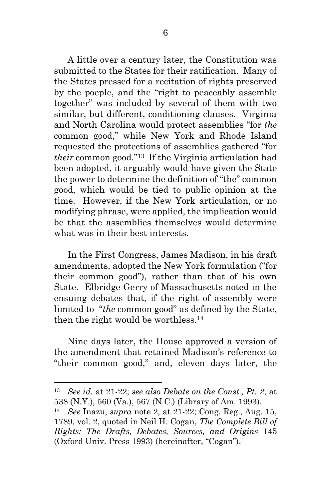A little over a century later, the Constitution was submitted to the States for their ratification. Many of the States pressed for a recitation of rights preserved by the poeple, and the "right to peaceably assemble together" was included by several of them with two similar, but different, conditioning clauses. Virginia and North Carolina would protect assemblies "for *the* common good," while New York and Rhode Island requested the protections of assemblies gathered "for *their* common good." <sup>13</sup> If the Virginia articulation had been adopted, it arguably would have given the State the power to determine the definition of "the" common good, which would be tied to public opinion at the time. However, if the New York articulation, or no modifying phrase, were applied, the implication would be that the assemblies themselves would determine what was in their best interests.

In the First Congress, James Madison, in his draft amendments, adopted the New York formulation ("for their common good"), rather than that of his own State. Elbridge Gerry of Massachusetts noted in the ensuing debates that, if the right of assembly were limited to "*the* common good" as defined by the State, then the right would be worthless.<sup>14</sup>

Nine days later, the House approved a version of the amendment that retained Madison's reference to "their common good," and, eleven days later, the

<sup>13</sup> *See id.* at 21-22; *see also Debate on the Const., Pt. 2*, at 538 (N.Y.), 560 (Va.), 567 (N.C.) (Library of Am. 1993).

<sup>14</sup> *See* Inazu, *supra* note 2, at 21-22; Cong. Reg., Aug. 15, 1789, vol. 2, quoted in Neil H. Cogan, *The Complete Bill of Rights: The Drafts, Debates, Sources, and Origins* 145 (Oxford Univ. Press 1993) (hereinafter, "Cogan").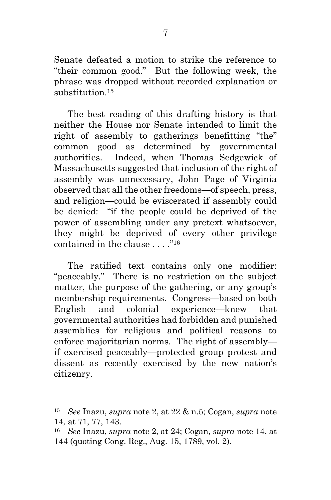Senate defeated a motion to strike the reference to "their common good." But the following week, the phrase was dropped without recorded explanation or substitution. <sup>15</sup>

The best reading of this drafting history is that neither the House nor Senate intended to limit the right of assembly to gatherings benefitting "the" common good as determined by governmental authorities. Indeed, when Thomas Sedgewick of Massachusetts suggested that inclusion of the right of assembly was unnecessary, John Page of Virginia observed that all the other freedoms—of speech, press, and religion—could be eviscerated if assembly could be denied: "if the people could be deprived of the power of assembling under any pretext whatsoever, they might be deprived of every other privilege contained in the clause . . . ."<sup>16</sup>

The ratified text contains only one modifier: "peaceably." There is no restriction on the subject matter, the purpose of the gathering, or any group's membership requirements. Congress—based on both English and colonial experience—knew that governmental authorities had forbidden and punished assemblies for religious and political reasons to enforce majoritarian norms. The right of assembly if exercised peaceably—protected group protest and dissent as recently exercised by the new nation's citizenry.

<sup>15</sup> *See* Inazu, *supra* note 2, at 22 & n.5; Cogan, *supra* note 14, at 71, 77, 143.

<sup>16</sup> *See* Inazu, *supra* note 2, at 24; Cogan, *supra* note 14, at 144 (quoting Cong. Reg., Aug. 15, 1789, vol. 2).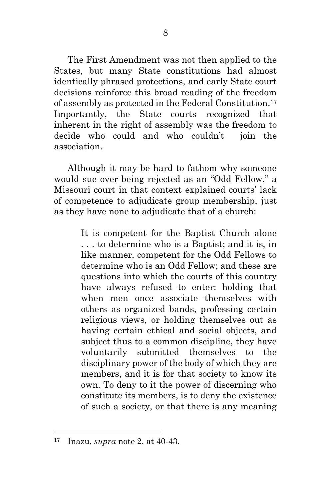The First Amendment was not then applied to the States, but many State constitutions had almost identically phrased protections, and early State court decisions reinforce this broad reading of the freedom of assembly as protected in the Federal Constitution. <sup>17</sup> Importantly, the State courts recognized that inherent in the right of assembly was the freedom to decide who could and who couldn't join the association.

Although it may be hard to fathom why someone would sue over being rejected as an "Odd Fellow," a Missouri court in that context explained courts' lack of competence to adjudicate group membership, just as they have none to adjudicate that of a church:

> It is competent for the Baptist Church alone . . . to determine who is a Baptist; and it is, in like manner, competent for the Odd Fellows to determine who is an Odd Fellow; and these are questions into which the courts of this country have always refused to enter: holding that when men once associate themselves with others as organized bands, professing certain religious views, or holding themselves out as having certain ethical and social objects, and subject thus to a common discipline, they have voluntarily submitted themselves to the disciplinary power of the body of which they are members, and it is for that society to know its own. To deny to it the power of discerning who constitute its members, is to deny the existence of such a society, or that there is any meaning

<sup>17</sup> Inazu, *supra* note 2, at 40-43.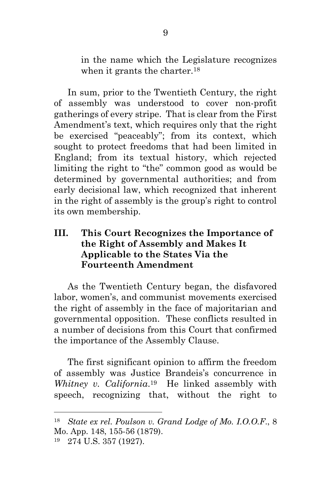in the name which the Legislature recognizes when it grants the charter.<sup>18</sup>

In sum, prior to the Twentieth Century, the right of assembly was understood to cover non-profit gatherings of every stripe. That is clear from the First Amendment's text, which requires only that the right be exercised "peaceably"; from its context, which sought to protect freedoms that had been limited in England; from its textual history, which rejected limiting the right to "the" common good as would be determined by governmental authorities; and from early decisional law, which recognized that inherent in the right of assembly is the group's right to control its own membership.

### **III. This Court Recognizes the Importance of the Right of Assembly and Makes It Applicable to the States Via the Fourteenth Amendment**

As the Twentieth Century began, the disfavored labor, women's, and communist movements exercised the right of assembly in the face of majoritarian and governmental opposition. These conflicts resulted in a number of decisions from this Court that confirmed the importance of the Assembly Clause.

The first significant opinion to affirm the freedom of assembly was Justice Brandeis's concurrence in *Whitney v. California*. <sup>19</sup> He linked assembly with speech, recognizing that, without the right to

<sup>18</sup> *State ex rel. Poulson v. Grand Lodge of Mo. I.O.O.F*., 8 Mo. App. 148, 155-56 (1879).

<sup>19</sup> 274 U.S. 357 (1927).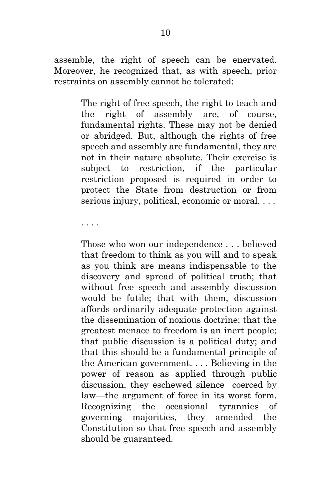assemble, the right of speech can be enervated. Moreover, he recognized that, as with speech, prior restraints on assembly cannot be tolerated:

> The right of free speech, the right to teach and the right of assembly are, of course, fundamental rights. These may not be denied or abridged. But, although the rights of free speech and assembly are fundamental, they are not in their nature absolute. Their exercise is subject to restriction, if the particular restriction proposed is required in order to protect the State from destruction or from serious injury, political, economic or moral. . . .

. . . .

Those who won our independence . . . believed that freedom to think as you will and to speak as you think are means indispensable to the discovery and spread of political truth; that without free speech and assembly discussion would be futile; that with them, discussion affords ordinarily adequate protection against the dissemination of noxious doctrine; that the greatest menace to freedom is an inert people; that public discussion is a political duty; and that this should be a fundamental principle of the American government. . . . Believing in the power of reason as applied through public discussion, they eschewed silence coerced by law—the argument of force in its worst form. Recognizing the occasional tyrannies of governing majorities, they amended the Constitution so that free speech and assembly should be guaranteed.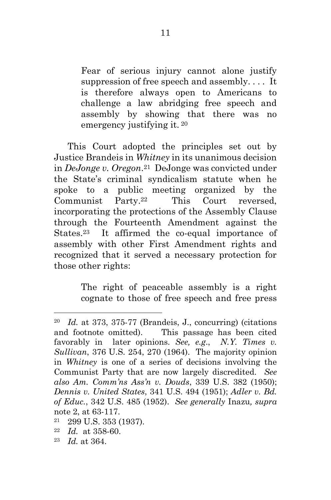Fear of serious injury cannot alone justify suppression of free speech and assembly. . . . It is therefore always open to Americans to challenge a law abridging free speech and assembly by showing that there was no emergency justifying it. <sup>20</sup>

This Court adopted the principles set out by Justice Brandeis in *Whitney* in its unanimous decision in *DeJonge v. Oregon*. <sup>21</sup> DeJonge was convicted under the State's criminal syndicalism statute when he spoke to a public meeting organized by the Communist Party.22 This Court reversed, incorporating the protections of the Assembly Clause through the Fourteenth Amendment against the States.23 It affirmed the co-equal importance of assembly with other First Amendment rights and recognized that it served a necessary protection for those other rights:

> The right of peaceable assembly is a right cognate to those of free speech and free press

- <sup>21</sup> 299 U.S. 353 (1937).
- <sup>22</sup> *Id.* at 358-60.
- <sup>23</sup> *Id.* at 364.

<sup>20</sup> *Id.* at 373, 375-77 (Brandeis, J., concurring) (citations and footnote omitted). This passage has been cited favorably in later opinions. *See, e.g*., *N.Y. Times v. Sullivan*, 376 U.S. 254, 270 (1964). The majority opinion in *Whitney* is one of a series of decisions involving the Communist Party that are now largely discredited. *See also Am. Comm'ns Ass'n v. Douds*, 339 U.S. 382 (1950); *Dennis v. United States*, 341 U.S. 494 (1951); *Adler v. Bd. of Educ.*, 342 U.S. 485 (1952). *See generally* Inazu*, supra* note 2, at 63-117.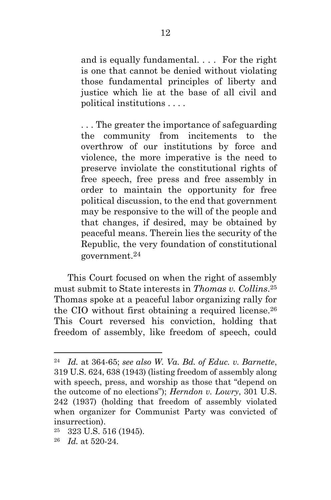and is equally fundamental. . . . For the right is one that cannot be denied without violating those fundamental principles of liberty and justice which lie at the base of all civil and political institutions . . . .

. . . The greater the importance of safeguarding the community from incitements to the overthrow of our institutions by force and violence, the more imperative is the need to preserve inviolate the constitutional rights of free speech, free press and free assembly in order to maintain the opportunity for free political discussion, to the end that government may be responsive to the will of the people and that changes, if desired, may be obtained by peaceful means. Therein lies the security of the Republic, the very foundation of constitutional government.<sup>24</sup>

This Court focused on when the right of assembly must submit to State interests in *Thomas v. Collins*. <sup>25</sup> Thomas spoke at a peaceful labor organizing rally for the CIO without first obtaining a required license. <sup>26</sup> This Court reversed his conviction, holding that freedom of assembly, like freedom of speech, could

<sup>24</sup> *Id.* at 364-65; *see also W. Va. Bd. of Educ. v. Barnette*, 319 U.S. 624, 638 (1943) (listing freedom of assembly along with speech, press, and worship as those that "depend on the outcome of no elections"); *Herndon v. Lowry*, 301 U.S. 242 (1937) (holding that freedom of assembly violated when organizer for Communist Party was convicted of insurrection).

 $25$  323 U.S. 516 (1945).

<sup>26</sup> *Id.* at 520-24.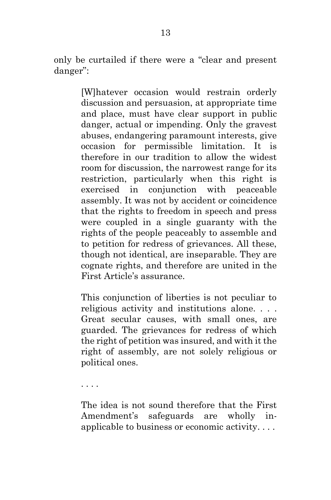only be curtailed if there were a "clear and present danger":

> [W]hatever occasion would restrain orderly discussion and persuasion, at appropriate time and place, must have clear support in public danger, actual or impending. Only the gravest abuses, endangering paramount interests, give occasion for permissible limitation. It is therefore in our tradition to allow the widest room for discussion, the narrowest range for its restriction, particularly when this right is exercised in conjunction with peaceable assembly. It was not by accident or coincidence that the rights to freedom in speech and press were coupled in a single guaranty with the rights of the people peaceably to assemble and to petition for redress of grievances. All these, though not identical, are inseparable. They are cognate rights, and therefore are united in the First Article's assurance.

> This conjunction of liberties is not peculiar to religious activity and institutions alone. . . . Great secular causes, with small ones, are guarded. The grievances for redress of which the right of petition was insured, and with it the right of assembly, are not solely religious or political ones.

. . . .

The idea is not sound therefore that the First Amendment's safeguards are wholly inapplicable to business or economic activity. . . .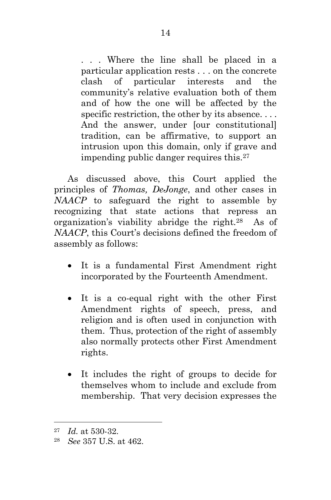. . . Where the line shall be placed in a particular application rests . . . on the concrete clash of particular interests and the community's relative evaluation both of them and of how the one will be affected by the specific restriction, the other by its absence.... And the answer, under [our constitutional] tradition, can be affirmative, to support an intrusion upon this domain, only if grave and impending public danger requires this.<sup>27</sup>

As discussed above, this Court applied the principles of *Thomas, DeJonge*, and other cases in *NAACP* to safeguard the right to assemble by recognizing that state actions that repress an organization's viability abridge the right.28 As of *NAACP*, this Court's decisions defined the freedom of assembly as follows:

- It is a fundamental First Amendment right incorporated by the Fourteenth Amendment.
- It is a co-equal right with the other First Amendment rights of speech, press, and religion and is often used in conjunction with them. Thus, protection of the right of assembly also normally protects other First Amendment rights.
- It includes the right of groups to decide for themselves whom to include and exclude from membership. That very decision expresses the

<sup>27</sup> *Id.* at 530-32.

<sup>28</sup> *See* 357 U.S. at 462.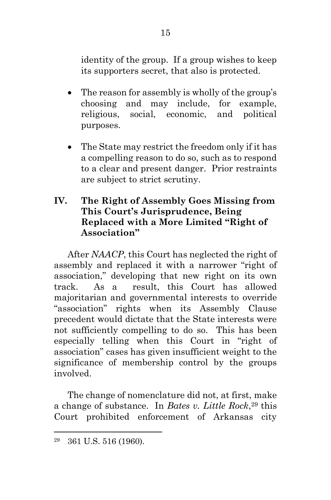identity of the group. If a group wishes to keep its supporters secret, that also is protected.

- The reason for assembly is wholly of the group's choosing and may include, for example, religious, social, economic, and political purposes.
- The State may restrict the freedom only if it has a compelling reason to do so, such as to respond to a clear and present danger. Prior restraints are subject to strict scrutiny.

## **IV. The Right of Assembly Goes Missing from This Court's Jurisprudence, Being Replaced with a More Limited "Right of Association"**

After *NAACP*, this Court has neglected the right of assembly and replaced it with a narrower "right of association," developing that new right on its own track. As a result, this Court has allowed majoritarian and governmental interests to override "association" rights when its Assembly Clause precedent would dictate that the State interests were not sufficiently compelling to do so. This has been especially telling when this Court in "right of association" cases has given insufficient weight to the significance of membership control by the groups involved.

The change of nomenclature did not, at first, make a change of substance. In *Bates v. Little Rock*, <sup>29</sup> this Court prohibited enforcement of Arkansas city

<sup>29</sup> 361 U.S. 516 (1960).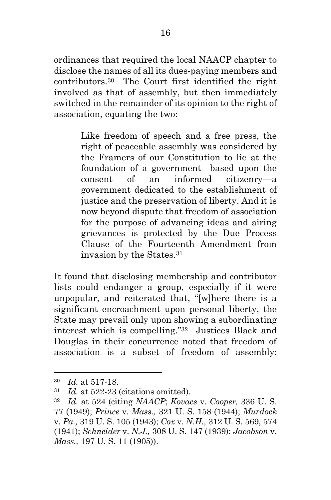ordinances that required the local NAACP chapter to disclose the names of all its dues-paying members and contributors.30 The Court first identified the right involved as that of assembly, but then immediately switched in the remainder of its opinion to the right of association, equating the two:

> Like freedom of speech and a free press, the right of peaceable assembly was considered by the Framers of our Constitution to lie at the foundation of a government based upon the consent of an informed citizenry—a government dedicated to the establishment of justice and the preservation of liberty. And it is now beyond dispute that freedom of association for the purpose of advancing ideas and airing grievances is protected by the Due Process Clause of the Fourteenth Amendment from invasion by the States.<sup>31</sup>

It found that disclosing membership and contributor lists could endanger a group, especially if it were unpopular, and reiterated that, "[w]here there is a significant encroachment upon personal liberty, the State may prevail only upon showing a subordinating interest which is compelling." <sup>32</sup> Justices Black and Douglas in their concurrence noted that freedom of association is a subset of freedom of assembly:

<sup>30</sup> *Id.* at 517-18.

<sup>31</sup> *Id.* at 522-23 (citations omitted).

<sup>32</sup> *Id.* at 524 (citing *NAACP*; *Kovacs* v. *Cooper,* 336 U. S. 77 (1949); *Prince* v. *Mass.,* 321 U. S. 158 (1944); *Murdock* v. *Pa.,* 319 U. S. 105 (1943); *Cox* v. *N.H.,* 312 U. S. 569, 574 (1941); *Schneider* v. *N.J.,* 308 U. S. 147 (1939); *Jacobson* v. *Mass.,* 197 U. S. 11 (1905)).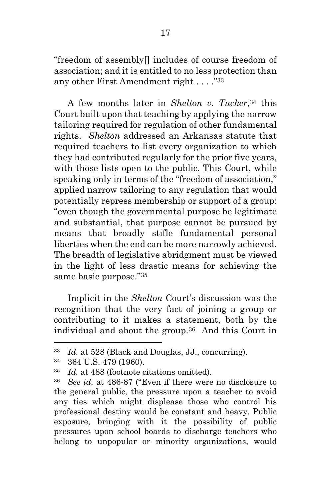"freedom of assembly[] includes of course freedom of association; and it is entitled to no less protection than any other First Amendment right . . . ." <sup>33</sup>

A few months later in *Shelton v. Tucker*, <sup>34</sup> this Court built upon that teaching by applying the narrow tailoring required for regulation of other fundamental rights. *Shelton* addressed an Arkansas statute that required teachers to list every organization to which they had contributed regularly for the prior five years, with those lists open to the public. This Court, while speaking only in terms of the "freedom of association," applied narrow tailoring to any regulation that would potentially repress membership or support of a group: "even though the governmental purpose be legitimate and substantial, that purpose cannot be pursued by means that broadly stifle fundamental personal liberties when the end can be more narrowly achieved. The breadth of legislative abridgment must be viewed in the light of less drastic means for achieving the same basic purpose." 35

Implicit in the *Shelton* Court's discussion was the recognition that the very fact of joining a group or contributing to it makes a statement, both by the individual and about the group.36 And this Court in

<sup>33</sup> *Id.* at 528 (Black and Douglas, JJ., concurring).

<sup>34</sup> 364 U.S. 479 (1960).

<sup>35</sup> *Id.* at 488 (footnote citations omitted).

<sup>36</sup> *See id.* at 486-87 ("Even if there were no disclosure to the general public, the pressure upon a teacher to avoid any ties which might displease those who control his professional destiny would be constant and heavy. Public exposure, bringing with it the possibility of public pressures upon school boards to discharge teachers who belong to unpopular or minority organizations, would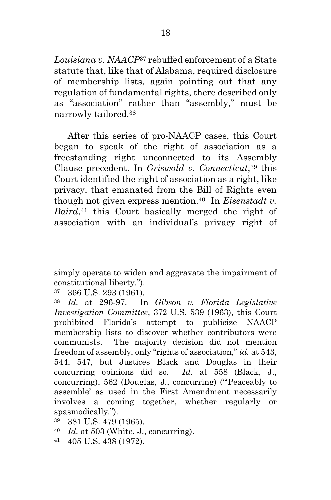*Louisiana v. NAACP*<sup>37</sup> rebuffed enforcement of a State statute that, like that of Alabama, required disclosure of membership lists, again pointing out that any regulation of fundamental rights, there described only as "association" rather than "assembly," must be narrowly tailored.<sup>38</sup>

After this series of pro-NAACP cases, this Court began to speak of the right of association as a freestanding right unconnected to its Assembly Clause precedent. In *Griswold v. Connecticut*, <sup>39</sup> this Court identified the right of association as a right, like privacy, that emanated from the Bill of Rights even though not given express mention.40 In *Eisenstadt v. Baird*, <sup>41</sup> this Court basically merged the right of association with an individual's privacy right of

- <sup>40</sup> *Id.* at 503 (White, J., concurring).
- <sup>41</sup> 405 U.S. 438 (1972).

simply operate to widen and aggravate the impairment of constitutional liberty.").

<sup>37</sup> 366 U.S. 293 (1961).

<sup>38</sup> *Id.* at 296-97. In *Gibson v. Florida Legislative Investigation Committee*, 372 U.S. 539 (1963), this Court prohibited Florida's attempt to publicize NAACP membership lists to discover whether contributors were communists. The majority decision did not mention freedom of assembly, only "rights of association," *id.* at 543, 544, 547, but Justices Black and Douglas in their concurring opinions did so. *Id.* at 558 (Black, J., concurring), 562 (Douglas, J., concurring) ("'Peaceably to assemble' as used in the First Amendment necessarily involves a coming together, whether regularly or spasmodically.").

<sup>39</sup> 381 U.S. 479 (1965).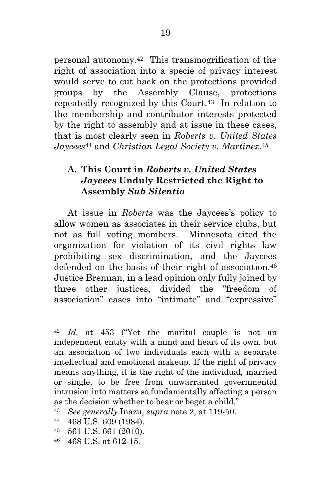personal autonomy.42 This transmogrification of the right of association into a specie of privacy interest would serve to cut back on the protections provided groups by the Assembly Clause, protections repeatedly recognized by this Court.43 In relation to the membership and contributor interests protected by the right to assembly and at issue in these cases, that is most clearly seen in *Roberts v. United States Jaycees*<sup>44</sup> and *Christian Legal Society v. Martinez*. 45

### **A. This Court in** *Roberts v. United States Jaycees* **Unduly Restricted the Right to Assembly** *Sub Silentio*

At issue in *Roberts* was the Jaycees's policy to allow women as associates in their service clubs, but not as full voting members. Minnesota cited the organization for violation of its civil rights law prohibiting sex discrimination, and the Jaycees defended on the basis of their right of association.<sup>46</sup> Justice Brennan, in a lead opinion only fully joined by three other justices, divided the "freedom of association" cases into "intimate" and "expressive"

<sup>42</sup> *Id.* at 453 ("Yet the marital couple is not an independent entity with a mind and heart of its own, but an association of two individuals each with a separate intellectual and emotional makeup. If the right of privacy means anything, it is the right of the individual*,* married or single, to be free from unwarranted governmental intrusion into matters so fundamentally affecting a person as the decision whether to bear or beget a child."

<sup>43</sup> *See generally* Inazu, *supra* note 2, at 119-50.

<sup>44</sup> 468 U.S. 609 (1984).

<sup>45</sup> 561 U.S. 661 (2010).

<sup>46</sup> 468 U.S. at 612-15.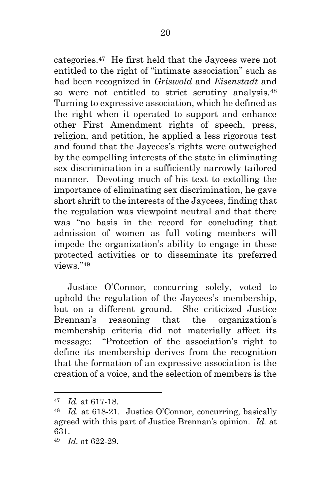categories.47 He first held that the Jaycees were not entitled to the right of "intimate association" such as had been recognized in *Griswold* and *Eisenstadt* and so were not entitled to strict scrutiny analysis.<sup>48</sup> Turning to expressive association, which he defined as the right when it operated to support and enhance other First Amendment rights of speech, press, religion, and petition, he applied a less rigorous test and found that the Jaycees's rights were outweighed by the compelling interests of the state in eliminating sex discrimination in a sufficiently narrowly tailored manner. Devoting much of his text to extolling the importance of eliminating sex discrimination, he gave short shrift to the interests of the Jaycees, finding that the regulation was viewpoint neutral and that there was "no basis in the record for concluding that admission of women as full voting members will impede the organization's ability to engage in these protected activities or to disseminate its preferred views." <sup>49</sup>

Justice O'Connor, concurring solely, voted to uphold the regulation of the Jaycees's membership, but on a different ground. She criticized Justice Brennan's reasoning that the organization's membership criteria did not materially affect its message: "Protection of the association's right to define its membership derives from the recognition that the formation of an expressive association is the creation of a voice, and the selection of members is the

<sup>47</sup> *Id.* at 617-18.

<sup>48</sup> *Id.* at 618-21. Justice O'Connor, concurring, basically agreed with this part of Justice Brennan's opinion. *Id.* at 631.

<sup>49</sup> *Id.* at 622-29.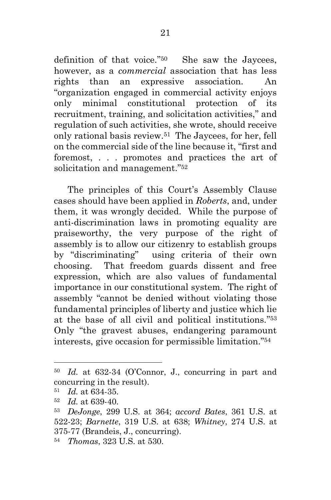definition of that voice." <sup>50</sup> She saw the Jaycees, however, as a *commercial* association that has less rights than an expressive association. An "organization engaged in commercial activity enjoys only minimal constitutional protection of its recruitment, training, and solicitation activities," and regulation of such activities, she wrote, should receive only rational basis review.51 The Jaycees, for her, fell on the commercial side of the line because it, "first and foremost, . . . promotes and practices the art of solicitation and management." 52

The principles of this Court's Assembly Clause cases should have been applied in *Roberts*, and, under them, it was wrongly decided. While the purpose of anti-discrimination laws in promoting equality are praiseworthy, the very purpose of the right of assembly is to allow our citizenry to establish groups by "discriminating" using criteria of their own choosing. That freedom guards dissent and free expression, which are also values of fundamental importance in our constitutional system. The right of assembly "cannot be denied without violating those fundamental principles of liberty and justice which lie at the base of all civil and political institutions." 53 Only "the gravest abuses, endangering paramount interests, give occasion for permissible limitation." 54

<sup>50</sup> *Id.* at 632-34 (O'Connor, J., concurring in part and concurring in the result).

<sup>51</sup> *Id.* at 634-35.

<sup>52</sup> *Id.* at 639-40.

<sup>53</sup> *DeJonge*, 299 U.S. at 364; *accord Bates*, 361 U.S. at 522-23; *Barnette*, 319 U.S. at 638; *Whitney*, 274 U.S. at 375-77 (Brandeis, J., concurring).

<sup>54</sup> *Thomas*, 323 U.S. at 530.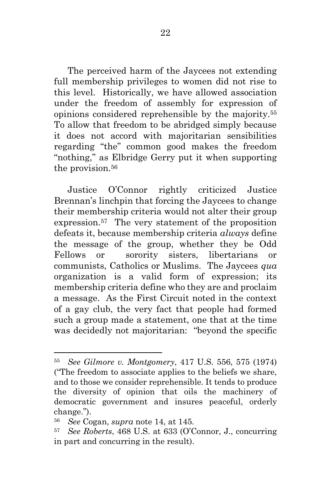The perceived harm of the Jaycees not extending full membership privileges to women did not rise to this level. Historically, we have allowed association under the freedom of assembly for expression of opinions considered reprehensible by the majority.<sup>55</sup> To allow that freedom to be abridged simply because it does not accord with majoritarian sensibilities regarding "the" common good makes the freedom "nothing," as Elbridge Gerry put it when supporting the provision.<sup>56</sup>

Justice O'Connor rightly criticized Justice Brennan's linchpin that forcing the Jaycees to change their membership criteria would not alter their group expression.57 The very statement of the proposition defeats it, because membership criteria *always* define the message of the group, whether they be Odd Fellows or sorority sisters, libertarians or communists, Catholics or Muslims. The Jaycees *qua* organization is a valid form of expression; its membership criteria define who they are and proclaim a message. As the First Circuit noted in the context of a gay club, the very fact that people had formed such a group made a statement, one that at the time was decidedly not majoritarian: "beyond the specific

<sup>55</sup> *See Gilmore v. Montgomery*, 417 U.S. 556, 575 (1974) ("The freedom to associate applies to the beliefs we share, and to those we consider reprehensible. It tends to produce the diversity of opinion that oils the machinery of democratic government and insures peaceful, orderly change.").

<sup>56</sup> *See* Cogan, *supra* note 14, at 145.

<sup>57</sup> *See Roberts*, 468 U.S. at 633 (O'Connor, J., concurring in part and concurring in the result).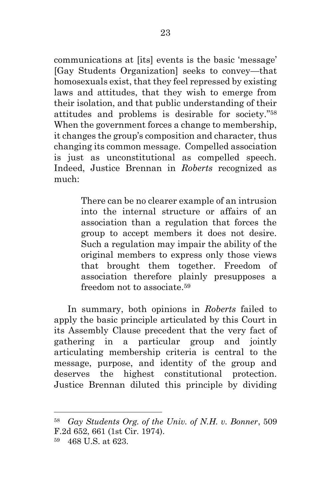communications at [its] events is the basic 'message' [Gay Students Organization] seeks to convey—that homosexuals exist, that they feel repressed by existing laws and attitudes, that they wish to emerge from their isolation, and that public understanding of their attitudes and problems is desirable for society." <sup>58</sup> When the government forces a change to membership, it changes the group's composition and character, thus changing its common message. Compelled association is just as unconstitutional as compelled speech. Indeed, Justice Brennan in *Roberts* recognized as much:

> There can be no clearer example of an intrusion into the internal structure or affairs of an association than a regulation that forces the group to accept members it does not desire. Such a regulation may impair the ability of the original members to express only those views that brought them together. Freedom of association therefore plainly presupposes a freedom not to associate.<sup>59</sup>

In summary, both opinions in *Roberts* failed to apply the basic principle articulated by this Court in its Assembly Clause precedent that the very fact of gathering in a particular group and jointly articulating membership criteria is central to the message, purpose, and identity of the group and deserves the highest constitutional protection. Justice Brennan diluted this principle by dividing

<sup>58</sup> *Gay Students Org. of the Univ. of N.H. v. Bonner*, 509 F.2d 652, 661 (1st Cir. 1974).

<sup>59</sup> 468 U.S. at 623.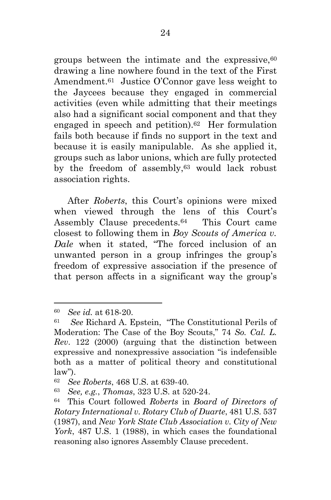groups between the intimate and the expressive, 60 drawing a line nowhere found in the text of the First Amendment. <sup>61</sup> Justice O'Connor gave less weight to the Jaycees because they engaged in commercial activities (even while admitting that their meetings also had a significant social component and that they engaged in speech and petition).62 Her formulation fails both because if finds no support in the text and because it is easily manipulable. As she applied it, groups such as labor unions, which are fully protected by the freedom of assembly,<sup>63</sup> would lack robust association rights.

After *Roberts*, this Court's opinions were mixed when viewed through the lens of this Court's Assembly Clause precedents. <sup>64</sup> This Court came closest to following them in *Boy Scouts of America v. Dale* when it stated, "The forced inclusion of an unwanted person in a group infringes the group's freedom of expressive association if the presence of that person affects in a significant way the group's

<sup>60</sup> *See id.* at 618-20.

<sup>61</sup> *See* Richard A. Epstein, "The Constitutional Perils of Moderation: The Case of the Boy Scouts," 74 *So. Cal. L. Rev*. 122 (2000) (arguing that the distinction between expressive and nonexpressive association "is indefensible both as a matter of political theory and constitutional law").

<sup>62</sup> *See Roberts*, 468 U.S. at 639-40.

<sup>63</sup> *See, e.g.*, *Thomas*, 323 U.S. at 520-24.

<sup>64</sup> This Court followed *Roberts* in *Board of Directors of Rotary International v. Rotary Club of Duarte*, 481 U.S. 537 (1987), and *New York State Club Association v. City of New York*, 487 U.S. 1 (1988), in which cases the foundational reasoning also ignores Assembly Clause precedent.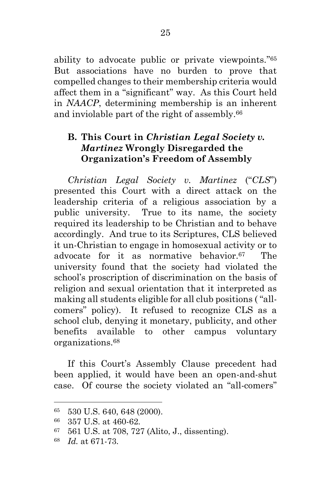ability to advocate public or private viewpoints." <sup>65</sup> But associations have no burden to prove that compelled changes to their membership criteria would affect them in a "significant" way. As this Court held in *NAACP*, determining membership is an inherent and inviolable part of the right of assembly.<sup>66</sup>

### **B. This Court in** *Christian Legal Society v. Martinez* **Wrongly Disregarded the Organization's Freedom of Assembly**

*Christian Legal Society v. Martinez* ("*CLS*") presented this Court with a direct attack on the leadership criteria of a religious association by a public university. True to its name, the society required its leadership to be Christian and to behave accordingly. And true to its Scriptures, CLS believed it un-Christian to engage in homosexual activity or to advocate for it as normative behavior. The university found that the society had violated the school's proscription of discrimination on the basis of religion and sexual orientation that it interpreted as making all students eligible for all club positions ( "allcomers" policy). It refused to recognize CLS as a school club, denying it monetary, publicity, and other benefits available to other campus voluntary organizations.<sup>68</sup>

If this Court's Assembly Clause precedent had been applied, it would have been an open-and-shut case. Of course the society violated an "all-comers"

<sup>65</sup> 530 U.S. 640, 648 (2000).

<sup>66</sup> 357 U.S. at 460-62.

<sup>67</sup> 561 U.S. at 708, 727 (Alito, J., dissenting).

<sup>68</sup> *Id.* at 671-73.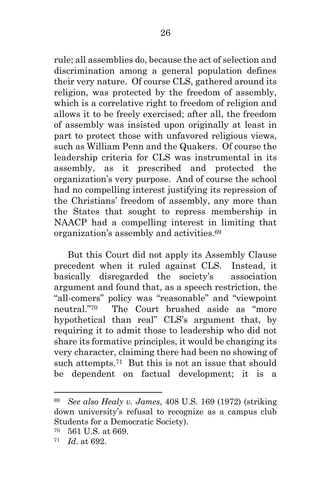rule; all assemblies do, because the act of selection and discrimination among a general population defines their very nature. Of course CLS, gathered around its religion, was protected by the freedom of assembly, which is a correlative right to freedom of religion and allows it to be freely exercised; after all, the freedom of assembly was insisted upon originally at least in part to protect those with unfavored religious views, such as William Penn and the Quakers. Of course the leadership criteria for CLS was instrumental in its assembly, as it prescribed and protected the organization's very purpose. And of course the school had no compelling interest justifying its repression of the Christians' freedom of assembly, any more than the States that sought to repress membership in NAACP had a compelling interest in limiting that organization's assembly and activities.<sup>69</sup>

But this Court did not apply its Assembly Clause precedent when it ruled against CLS. Instead, it basically disregarded the society's association argument and found that, as a speech restriction, the "all-comers" policy was "reasonable" and "viewpoint neutral." The Court brushed aside as "more hypothetical than real" CLS's argument that, by requiring it to admit those to leadership who did not share its formative principles, it would be changing its very character, claiming there had been no showing of such attempts.<sup>71</sup> But this is not an issue that should be dependent on factual development; it is a

<sup>69</sup> *See also Healy v. James*, 408 U.S. 169 (1972) (striking down university's refusal to recognize as a campus club Students for a Democratic Society).

<sup>70</sup> 561 U.S*.* at 669.

<sup>71</sup> *Id*. at 692.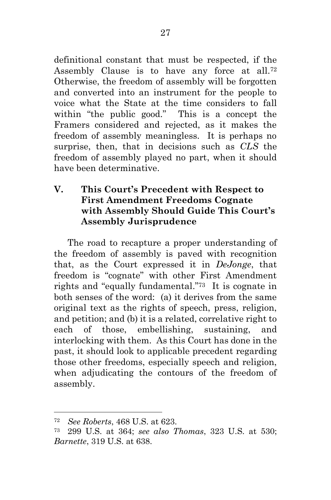definitional constant that must be respected, if the Assembly Clause is to have any force at all.<sup>72</sup> Otherwise, the freedom of assembly will be forgotten and converted into an instrument for the people to voice what the State at the time considers to fall within "the public good." This is a concept the Framers considered and rejected, as it makes the freedom of assembly meaningless. It is perhaps no surprise, then, that in decisions such as *CLS* the freedom of assembly played no part, when it should have been determinative.

### **V. This Court's Precedent with Respect to First Amendment Freedoms Cognate with Assembly Should Guide This Court's Assembly Jurisprudence**

The road to recapture a proper understanding of the freedom of assembly is paved with recognition that, as the Court expressed it in *DeJonge*, that freedom is "cognate" with other First Amendment rights and "equally fundamental." <sup>73</sup> It is cognate in both senses of the word: (a) it derives from the same original text as the rights of speech, press, religion, and petition; and (b) it is a related, correlative right to each of those, embellishing, sustaining, and interlocking with them. As this Court has done in the past, it should look to applicable precedent regarding those other freedoms, especially speech and religion, when adjudicating the contours of the freedom of assembly.

<sup>72</sup> *See Roberts*, 468 U.S. at 623.

<sup>73</sup> 299 U.S. at 364; *see also Thomas*, 323 U.S. at 530; *Barnette*, 319 U.S. at 638.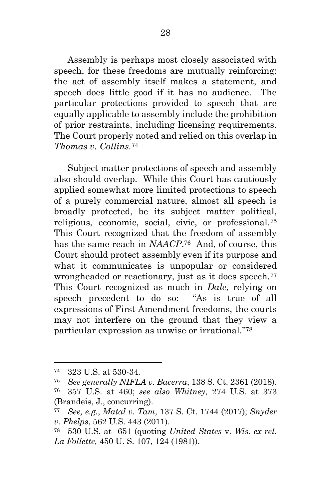Assembly is perhaps most closely associated with speech, for these freedoms are mutually reinforcing: the act of assembly itself makes a statement, and speech does little good if it has no audience. The particular protections provided to speech that are equally applicable to assembly include the prohibition of prior restraints, including licensing requirements. The Court properly noted and relied on this overlap in *Thomas v. Collins.*<sup>74</sup>

Subject matter protections of speech and assembly also should overlap. While this Court has cautiously applied somewhat more limited protections to speech of a purely commercial nature, almost all speech is broadly protected, be its subject matter political, religious, economic, social, civic, or professional.<sup>75</sup> This Court recognized that the freedom of assembly has the same reach in *NAACP*. <sup>76</sup> And, of course, this Court should protect assembly even if its purpose and what it communicates is unpopular or considered wrongheaded or reactionary, just as it does speech.<sup>77</sup> This Court recognized as much in *Dale*, relying on speech precedent to do so: "As is true of all expressions of First Amendment freedoms, the courts may not interfere on the ground that they view a particular expression as unwise or irrational." 78

<sup>74</sup> 323 U.S. at 530-34.

<sup>75</sup> *See generally NIFLA v. Bacerra*, 138 S. Ct. 2361 (2018).

<sup>76</sup> 357 U.S. at 460; *see also Whitney*, 274 U.S. at 373 (Brandeis, J., concurring).

<sup>77</sup> *See, e.g.*, *Matal v. Tam*, 137 S. Ct. 1744 (2017); *Snyder v. Phelps*, 562 U.S. 443 (2011).

<sup>78</sup> 530 U.S. at 651 (quoting *United States* v. *Wis. ex rel. La Follette,* 450 U. S. 107, 124 (1981)).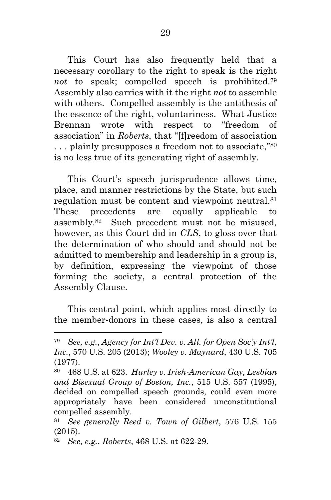This Court has also frequently held that a necessary corollary to the right to speak is the right *not* to speak; compelled speech is prohibited.<sup>79</sup> Assembly also carries with it the right *not* to assemble with others. Compelled assembly is the antithesis of the essence of the right, voluntariness. What Justice Brennan wrote with respect to "freedom of association" in *Roberts*, that "[f]reedom of association ... plainly presupposes a freedom not to associate,"<sup>80</sup> is no less true of its generating right of assembly.

This Court's speech jurisprudence allows time, place, and manner restrictions by the State, but such regulation must be content and viewpoint neutral.<sup>81</sup> These precedents are equally applicable to assembly.82 Such precedent must not be misused, however, as this Court did in *CLS*, to gloss over that the determination of who should and should not be admitted to membership and leadership in a group is, by definition, expressing the viewpoint of those forming the society, a central protection of the Assembly Clause.

This central point, which applies most directly to the member-donors in these cases, is also a central

<sup>79</sup> *See, e.g.*, *Agency for Int'l Dev. v. All. for Open Soc'y Int'l, Inc.*, 570 U.S. 205 (2013); *Wooley v. Maynard*, 430 U.S. 705 (1977).

<sup>80</sup> 468 U.S. at 623. *Hurley v. Irish-American Gay, Lesbian and Bisexual Group of Boston, Inc.*, 515 U.S. 557 (1995), decided on compelled speech grounds, could even more appropriately have been considered unconstitutional compelled assembly.

<sup>81</sup> *See generally Reed v. Town of Gilbert*, 576 U.S. 155 (2015).

<sup>82</sup> *See, e.g.*, *Roberts*, 468 U.S. at 622-29.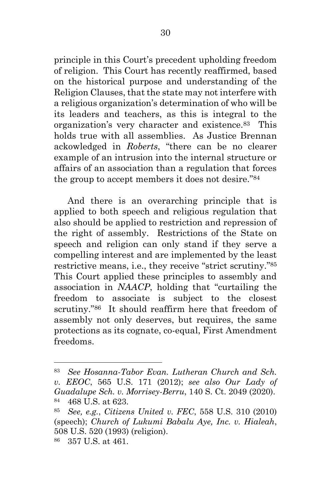principle in this Court's precedent upholding freedom of religion. This Court has recently reaffirmed, based on the historical purpose and understanding of the Religion Clauses, that the state may not interfere with a religious organization's determination of who will be its leaders and teachers, as this is integral to the organization's very character and existence.83 This holds true with all assemblies. As Justice Brennan ackowledged in *Roberts*, "there can be no clearer example of an intrusion into the internal structure or affairs of an association than a regulation that forces the group to accept members it does not desire." <sup>84</sup>

And there is an overarching principle that is applied to both speech and religious regulation that also should be applied to restriction and repression of the right of assembly. Restrictions of the State on speech and religion can only stand if they serve a compelling interest and are implemented by the least restrictive means, i.e., they receive "strict scrutiny." <sup>85</sup> This Court applied these principles to assembly and association in *NAACP*, holding that "curtailing the freedom to associate is subject to the closest scrutiny." <sup>86</sup> It should reaffirm here that freedom of assembly not only deserves, but requires, the same protections as its cognate, co-equal, First Amendment freedoms.

<sup>83</sup> *See Hosanna-Tabor Evan. Lutheran Church and Sch. v. EEOC*, 565 U.S. 171 (2012); *see also Our Lady of Guadalupe Sch. v. Morrisey-Berru*, 140 S. Ct. 2049 (2020). <sup>84</sup> 468 U.S. at 623.

<sup>85</sup> *See, e.g.*, *Citizens United v. FEC*, 558 U.S. 310 (2010) (speech); *Church of Lukumi Babalu Aye, Inc. v. Hialeah*, 508 U.S. 520 (1993) (religion).

<sup>86</sup> 357 U.S. at 461.